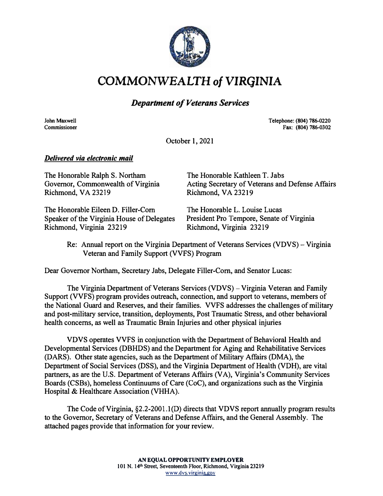

COMMONWEALTH *of* VIRGINIA

#### *Department of Veterans Services*

**John Maxwell Commissioner** 

#### **Telephone: (804) 786-0220 Fax: (804) 786-0302**

October 1, 2021

#### *Delivered via electronic mail*

The Honorable Ralph S. Northam Governor, Commonwealth of Virginia Richmond, VA 23219 The Honorable Kathleen T. Jabs Acting Secretary of Veterans and Defense Affairs Richmond, VA 23219

The Honorable Eileen D. Filler-Com Speaker of the Virginia House of Delegates Richmond, Virginia 23219

The Honorable L. Louise Lucas President Pro Tempore, Senate of Virginia Richmond, Virginia 23219

Re: Annual report on the Virginia Department of Veterans Services (VDVS) - Virginia Veteran and Family Support (VVFS) Program

Dear Governor Northam, Secretary Jabs, Delegate Filler-Com, and Senator Lucas:

The Virginia Department of Veterans Services (VDVS) – Virginia Veteran and Family Support (VVFS} program provides outreach, connection, and support to veterans, members of the National Guard and Reserves, and their families. VVFS addresses the challenges of military and post-military service, transition, deployments, Post Traumatic Stress, and other behavioral health concerns, as well as Traumatic Brain Injuries and other physical injuries

VDVS operates VVFS in conjunction with the Department of Behavioral Health and Developmental Services (DBHDS) and the Department for Aging and Rehabilitative Services (OARS}. Other state agencies, such as the Department of Military Affairs (OMA), the Department of Social Services (DSS), and the Virginia Department of Health (VDH}, are vital partners, as are the U.S. Department of Veterans Affairs (VA}, Virginia's Community Services Boards (CSBs}, homeless Continuums of Care (CoC}, and organizations such as the Virginia Hospital & Healthcare Association (VHHA).

The Code of Virginia, §2.2-2001.1(D) directs that VDVS report annually program results to the Governor, Secretary of Veterans and Defense Affairs, and the General Assembly. The attached pages provide that information for your review.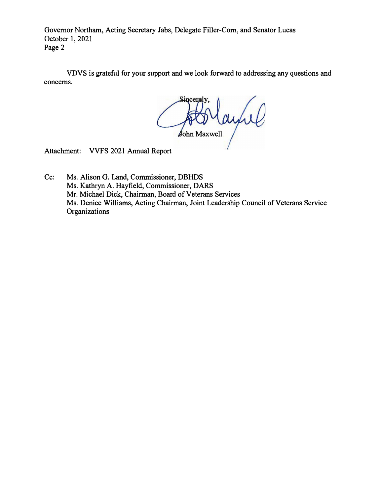Governor Northam, Acting Secretary Jabs, Delegate Filler-Com, and Senator Lucas October 1, 2021 Page 2

VDVS is grateful for your support and we look forward to addressing any questions and concerns.

AD ayul

Attachment: VVFS 2021 Annual Report

Cc: Ms. Alison G. Land, Commissioner, DBHDS Ms. Kathryn A. Hayfield, Commissioner, DARS Mr. Michael Dick, Chairman, Board of Veterans Services Ms. Denice Williams, Acting Chairman, Joint Leadership Council of Veterans Service **Organizations**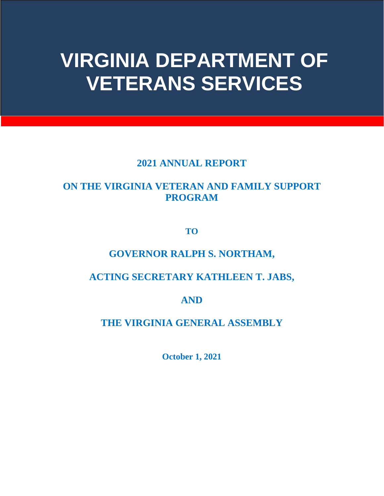# **VIRGINIA DEPARTMENT OF VETERANS SERVICES**

### **2021 ANNUAL REPORT**

## **ON THE VIRGINIA VETERAN AND FAMILY SUPPORT PROGRAM**

**TO**

## **GOVERNOR RALPH S. NORTHAM,**

## **ACTING SECRETARY KATHLEEN T. JABS,**

**AND**

**THE VIRGINIA GENERAL ASSEMBLY**

**October 1, 2021**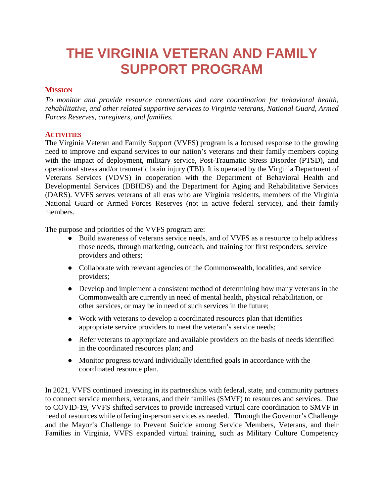## **THE VIRGINIA VETERAN AND FAMILY SUPPORT PROGRAM**

#### **MISSION**

*To monitor and provide resource connections and care coordination for behavioral health, rehabilitative, and other related supportive services to Virginia veterans, National Guard, Armed Forces Reserves, caregivers, and families.* 

#### **ACTIVITIES**

The Virginia Veteran and Family Support (VVFS) program is a focused response to the growing need to improve and expand services to our nation's veterans and their family members coping with the impact of deployment, military service, Post-Traumatic Stress Disorder (PTSD), and operational stress and/or traumatic brain injury (TBI). It is operated by the Virginia Department of Veterans Services (VDVS) in cooperation with the Department of Behavioral Health and Developmental Services (DBHDS) and the Department for Aging and Rehabilitative Services (DARS). VVFS serves veterans of all eras who are Virginia residents, members of the Virginia National Guard or Armed Forces Reserves (not in active federal service), and their family members.

The purpose and priorities of the VVFS program are:

- Build awareness of veterans service needs, and of VVFS as a resource to help address those needs, through marketing, outreach, and training for first responders, service providers and others;
- Collaborate with relevant agencies of the Commonwealth, localities, and service providers;
- Develop and implement a consistent method of determining how many veterans in the Commonwealth are currently in need of mental health, physical rehabilitation, or other services, or may be in need of such services in the future;
- Work with veterans to develop a coordinated resources plan that identifies appropriate service providers to meet the veteran's service needs;
- Refer veterans to appropriate and available providers on the basis of needs identified in the coordinated resources plan; and
- Monitor progress toward individually identified goals in accordance with the coordinated resource plan.

In 2021, VVFS continued investing in its partnerships with federal, state, and community partners to connect service members, veterans, and their families (SMVF) to resources and services. Due to COVID-19, VVFS shifted services to provide increased virtual care coordination to SMVF in need of resources while offering in-person services as needed. Through the Governor's Challenge and the Mayor's Challenge to Prevent Suicide among Service Members, Veterans, and their Families in Virginia, VVFS expanded virtual training, such as Military Culture Competency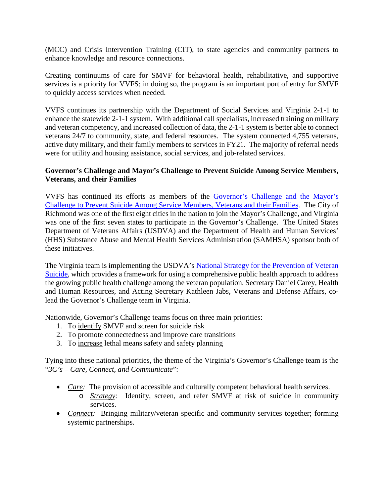(MCC) and Crisis Intervention Training (CIT), to state agencies and community partners to enhance knowledge and resource connections.

Creating continuums of care for SMVF for behavioral health, rehabilitative, and supportive services is a priority for VVFS; in doing so, the program is an important port of entry for SMVF to quickly access services when needed.

VVFS continues its partnership with the Department of Social Services and Virginia 2-1-1 to enhance the statewide 2-1-1 system. With additional call specialists, increased training on military and veteran competency, and increased collection of data, the 2-1-1 system is better able to connect veterans 24/7 to community, state, and federal resources. The system connected 4,755 veterans, active duty military, and their family members to services in FY21. The majority of referral needs were for utility and housing assistance, social services, and job-related services.

#### **Governor's Challenge and Mayor's Challenge to Prevent Suicide Among Service Members, Veterans, and their Families**

VVFS has continued its efforts as members of the [Governor's Challenge and the Mayor's](https://www.samhsa.gov/smvf-ta-center/mayors-governors-challenges)  [Challenge to Prevent Suicide Among Service Members, Veterans and their Families.](https://www.samhsa.gov/smvf-ta-center/mayors-governors-challenges) The City of Richmond was one of the first eight cities in the nation to join the Mayor's Challenge, and Virginia was one of the first seven states to participate in the Governor's Challenge. The United States Department of Veterans Affairs (USDVA) and the Department of Health and Human Services' (HHS) Substance Abuse and Mental Health Services Administration (SAMHSA) sponsor both of these initiatives.

The Virginia team is implementing the USDVA's National Strategy for the Prevention of Veteran [Suicide,](https://www.mentalhealth.va.gov/suicide_prevention/docs/Office-of-Mental-Health-and-Suicide-Prevention-National-Strategy-for-Preventing-Veterans-Suicide.pdf) which provides a framework for using a comprehensive public health approach to address the growing public health challenge among the veteran population. Secretary Daniel Carey, Health and Human Resources, and Acting Secretary Kathleen Jabs, Veterans and Defense Affairs, colead the Governor's Challenge team in Virginia.

Nationwide, Governor's Challenge teams focus on three main priorities:

- 1. To identify SMVF and screen for suicide risk
- 2. To promote connectedness and improve care transitions
- 3. To increase lethal means safety and safety planning

Tying into these national priorities, the theme of the Virginia's Governor's Challenge team is the "*3C's – Care, Connect, and Communicate*":

- *Care:* The provision of accessible and culturally competent behavioral health services.
	- o *Strategy:* Identify, screen, and refer SMVF at risk of suicide in community services.
- *Connect:* Bringing military/veteran specific and community services together; forming systemic partnerships.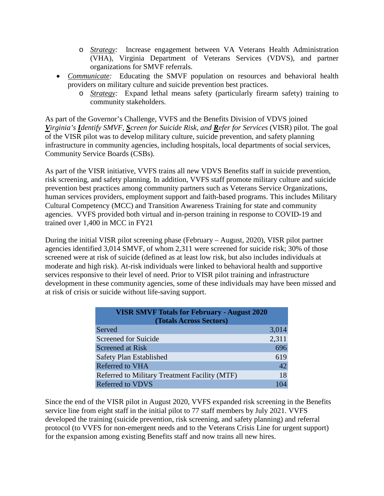- o *Strategy:* Increase engagement between VA Veterans Health Administration (VHA), Virginia Department of Veterans Services (VDVS), and partner organizations for SMVF referrals.
- *Communicate:* Educating the SMVF population on resources and behavioral health providers on military culture and suicide prevention best practices.
	- o *Strategy:* Expand lethal means safety (particularly firearm safety) training to community stakeholders.

As part of the Governor's Challenge, VVFS and the Benefits Division of VDVS joined *Virginia's Identify SMVF, Screen for Suicide Risk, and Refer for Services* (VISR) pilot. The goal of the VISR pilot was to develop military culture, suicide prevention, and safety planning infrastructure in community agencies, including hospitals, local departments of social services, Community Service Boards (CSBs).

As part of the VISR initiative, VVFS trains all new VDVS Benefits staff in suicide prevention, risk screening, and safety planning. In addition, VVFS staff promote military culture and suicide prevention best practices among community partners such as Veterans Service Organizations, human services providers, employment support and faith-based programs. This includes Military Cultural Competency (MCC) and Transition Awareness Training for state and community agencies. VVFS provided both virtual and in-person training in response to COVID-19 and trained over 1,400 in MCC in FY21

During the initial VISR pilot screening phase (February – August, 2020), VISR pilot partner agencies identified 3,014 SMVF, of whom 2,311 were screened for suicide risk; 30% of those screened were at risk of suicide (defined as at least low risk, but also includes individuals at moderate and high risk). At-risk individuals were linked to behavioral health and supportive services responsive to their level of need. Prior to VISR pilot training and infrastructure development in these community agencies, some of these individuals may have been missed and at risk of crisis or suicide without life-saving support.

| <b>VISR SMVF Totals for February - August 2020</b><br>(Totals Across Sectors) |       |  |  |
|-------------------------------------------------------------------------------|-------|--|--|
| Served                                                                        | 3,014 |  |  |
| Screened for Suicide                                                          | 2,311 |  |  |
| Screened at Risk                                                              | 696   |  |  |
| Safety Plan Established                                                       | 619   |  |  |
| <b>Referred to VHA</b>                                                        | 42    |  |  |
| Referred to Military Treatment Facility (MTF)                                 | 18    |  |  |
| <b>Referred to VDVS</b>                                                       |       |  |  |

Since the end of the VISR pilot in August 2020, VVFS expanded risk screening in the Benefits service line from eight staff in the initial pilot to 77 staff members by July 2021. VVFS developed the training (suicide prevention, risk screening, and safety planning) and referral protocol (to VVFS for non-emergent needs and to the Veterans Crisis Line for urgent support) for the expansion among existing Benefits staff and now trains all new hires.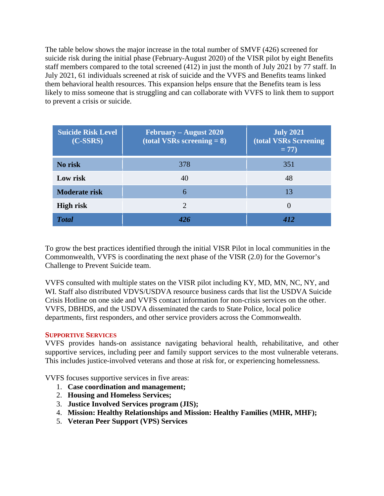The table below shows the major increase in the total number of SMVF (426) screened for suicide risk during the initial phase (February-August 2020) of the VISR pilot by eight Benefits staff members compared to the total screened (412) in just the month of July 2021 by 77 staff. In July 2021, 61 individuals screened at risk of suicide and the VVFS and Benefits teams linked them behavioral health resources. This expansion helps ensure that the Benefits team is less likely to miss someone that is struggling and can collaborate with VVFS to link them to support to prevent a crisis or suicide.

| <b>Suicide Risk Level</b><br>$(C-SSRS)$ | February – August 2020<br>(total VSRs screening $= 8$ ) | <b>July 2021</b><br><b>(total VSRs Screening)</b><br>$= 77$ |
|-----------------------------------------|---------------------------------------------------------|-------------------------------------------------------------|
| No risk                                 | 378                                                     | 351                                                         |
| Low risk                                | 40                                                      | 48                                                          |
| <b>Moderate risk</b>                    | 6                                                       | 13                                                          |
| <b>High risk</b>                        | $\mathcal{D}_{\mathcal{L}}$                             |                                                             |
| <b>Total</b>                            |                                                         |                                                             |

To grow the best practices identified through the initial VISR Pilot in local communities in the Commonwealth, VVFS is coordinating the next phase of the VISR (2.0) for the Governor's Challenge to Prevent Suicide team.

VVFS consulted with multiple states on the VISR pilot including KY, MD, MN, NC, NY, and WI. Staff also distributed VDVS/USDVA resource business cards that list the USDVA Suicide Crisis Hotline on one side and VVFS contact information for non-crisis services on the other. VVFS, DBHDS, and the USDVA disseminated the cards to State Police, local police departments, first responders, and other service providers across the Commonwealth.

#### **SUPPORTIVE SERVICES**

VVFS provides hands-on assistance navigating behavioral health, rehabilitative, and other supportive services, including peer and family support services to the most vulnerable veterans. This includes justice-involved veterans and those at risk for, or experiencing homelessness.

VVFS focuses supportive services in five areas:

- 1. **Case coordination and management;**
- 2. **Housing and Homeless Services;**
- 3. **Justice Involved Services program (JIS);**
- 4. **Mission: Healthy Relationships and Mission: Healthy Families (MHR, MHF);**
- 5. **Veteran Peer Support (VPS) Services**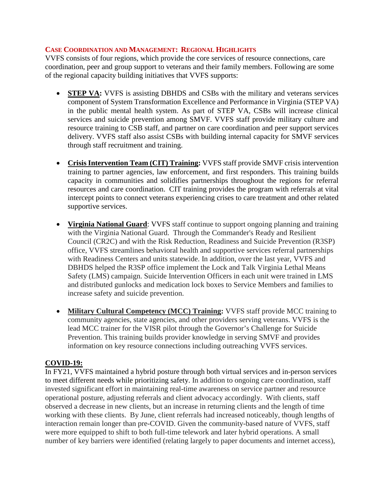#### **CASE COORDINATION AND MANAGEMENT: REGIONAL HIGHLIGHTS**

VVFS consists of four regions, which provide the core services of resource connections, care coordination, peer and group support to veterans and their family members. Following are some of the regional capacity building initiatives that VVFS supports:

- **STEP VA:** VVFS is assisting DBHDS and CSBs with the military and veterans services component of System Transformation Excellence and Performance in Virginia (STEP VA) in the public mental health system. As part of STEP VA, CSBs will increase clinical services and suicide prevention among SMVF. VVFS staff provide military culture and resource training to CSB staff, and partner on care coordination and peer support services delivery. VVFS staff also assist CSBs with building internal capacity for SMVF services through staff recruitment and training.
- **Crisis Intervention Team (CIT) Training:** VVFS staff provide SMVF crisis intervention training to partner agencies, law enforcement, and first responders. This training builds capacity in communities and solidifies partnerships throughout the regions for referral resources and care coordination. CIT training provides the program with referrals at vital intercept points to connect veterans experiencing crises to care treatment and other related supportive services.
- **Virginia National Guard:** VVFS staff continue to support ongoing planning and training with the Virginia National Guard. Through the Commander's Ready and Resilient Council (CR2C) and with the Risk Reduction, Readiness and Suicide Prevention (R3SP) office, VVFS streamlines behavioral health and supportive services referral partnerships with Readiness Centers and units statewide. In addition, over the last year, VVFS and DBHDS helped the R3SP office implement the Lock and Talk Virginia Lethal Means Safety (LMS) campaign. Suicide Intervention Officers in each unit were trained in LMS and distributed gunlocks and medication lock boxes to Service Members and families to increase safety and suicide prevention.
- **Military Cultural Competency (MCC) Training:** VVFS staff provide MCC training to community agencies, state agencies, and other providers serving veterans. VVFS is the lead MCC trainer for the VISR pilot through the Governor's Challenge for Suicide Prevention. This training builds provider knowledge in serving SMVF and provides information on key resource connections including outreaching VVFS services.

#### **COVID-19:**

In FY21, VVFS maintained a hybrid posture through both virtual services and in-person services to meet different needs while prioritizing safety. In addition to ongoing care coordination, staff invested significant effort in maintaining real-time awareness on service partner and resource operational posture, adjusting referrals and client advocacy accordingly. With clients, staff observed a decrease in new clients, but an increase in returning clients and the length of time working with these clients. By June, client referrals had increased noticeably, though lengths of interaction remain longer than pre-COVID. Given the community-based nature of VVFS, staff were more equipped to shift to both full-time telework and later hybrid operations. A small number of key barriers were identified (relating largely to paper documents and internet access),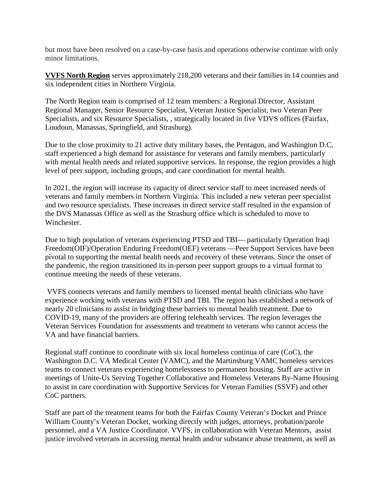but most have been resolved on a case-by-case basis and operations otherwise continue with only minor limitations.

**VVFS North Region** serves approximately 218,200 veterans and their families in 14 counties and six independent cities in Northern Virginia.

The North Region team is comprised of 12 team members: a Regional Director, Assistant Regional Manager, Senior Resource Specialist, Veteran Justice Specialist, two Veteran Peer Specialists, and six Resource Specialists, , strategically located in five VDVS offices (Fairfax, Loudoun, Manassas, Springfield, and Strasburg).

Due to the close proximity to 21 active duty military bases, the Pentagon, and Washington D.C, staff experienced a high demand for assistance for veterans and family members, particularly with mental health needs and related supportive services. In response, the region provides a high level of peer support, including groups, and care coordination for mental health.

In 2021, the region will increase its capacity of direct service staff to meet increased needs of veterans and family members in Northern Virginia. This included a new veteran peer specialist and two resource specialists. These increases in direct service staff resulted in the expansion of the DVS Manassas Office as well as the Strasburg office which is scheduled to move to Winchester.

Due to high population of veterans experiencing PTSD and TBI— particularly Operation Iraqi Freedom(OIF)/Operation Enduring Freedom(OEF) veterans —Peer Support Services have been pivotal to supporting the mental health needs and recovery of these veterans. Since the onset of the pandemic, the region transitioned its in-person peer support groups to a virtual format to continue meeting the needs of these veterans.

VVFS connects veterans and family members to licensed mental health clinicians who have experience working with veterans with PTSD and TBI. The region has established a network of nearly 20 clinicians to assist in bridging these barriers to mental health treatment. Due to COVID-19, many of the providers are offering telehealth services. The region leverages the Veteran Services Foundation for assessments and treatment to veterans who cannot access the VA and have financial barriers.

Regional staff continue to coordinate with six local homeless continua of care (CoC), the Washington D.C. VA Medical Center (VAMC), and the Martinsburg VAMC homeless services teams to connect veterans experiencing homelessness to permanent housing. Staff are active in meetings of Unite-Us Serving Together Collaborative and Homeless Veterans By-Name Housing to assist in care coordination with Supportive Services for Veteran Families (SSVF) and other CoC partners.

Staff are part of the treatment teams for both the Fairfax County Veteran's Docket and Prince William County's Veteran Docket, working directly with judges, attorneys, probation/parole personnel, and a VA Justice Coordinator. VVFS, in collaboration with Veteran Mentors, assist justice involved veterans in accessing mental health and/or substance abuse treatment, as well as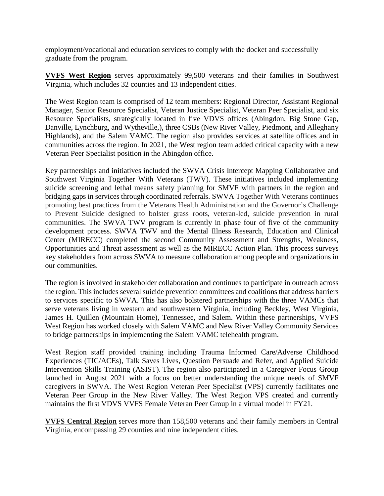employment/vocational and education services to comply with the docket and successfully graduate from the program.

**VVFS West Region** serves approximately 99,500 veterans and their families in Southwest Virginia, which includes 32 counties and 13 independent cities.

The West Region team is comprised of 12 team members: Regional Director, Assistant Regional Manager, Senior Resource Specialist, Veteran Justice Specialist, Veteran Peer Specialist, and six Resource Specialists, strategically located in five VDVS offices (Abingdon, Big Stone Gap, Danville, Lynchburg, and Wytheville,), three CSBs (New River Valley, Piedmont, and Alleghany Highlands), and the Salem VAMC. The region also provides services at satellite offices and in communities across the region. In 2021, the West region team added critical capacity with a new Veteran Peer Specialist position in the Abingdon office.

Key partnerships and initiatives included the SWVA Crisis Intercept Mapping Collaborative and Southwest Virginia Together With Veterans (TWV). These initiatives included implementing suicide screening and lethal means safety planning for SMVF with partners in the region and bridging gaps in services through coordinated referrals. SWVA Together With Veterans continues promoting best practices from the Veterans Health Administration and the Governor's Challenge to Prevent Suicide designed to bolster grass roots, veteran-led, suicide prevention in rural communities. The SWVA TWV program is currently in phase four of five of the community development process. SWVA TWV and the Mental Illness Research, Education and Clinical Center (MIRECC) completed the second Community Assessment and Strengths, Weakness, Opportunities and Threat assessment as well as the MIRECC Action Plan. This process surveys key stakeholders from across SWVA to measure collaboration among people and organizations in our communities.

The region is involved in stakeholder collaboration and continues to participate in outreach across the region. This includes several suicide prevention committees and coalitions that address barriers to services specific to SWVA. This has also bolstered partnerships with the three VAMCs that serve veterans living in western and southwestern Virginia, including Beckley, West Virginia, James H. Quillen (Mountain Home), Tennessee, and Salem. Within these partnerships, VVFS West Region has worked closely with Salem VAMC and New River Valley Community Services to bridge partnerships in implementing the Salem VAMC telehealth program.

West Region staff provided training including Trauma Informed Care/Adverse Childhood Experiences (TIC/ACEs), Talk Saves Lives, Question Persuade and Refer, and Applied Suicide Intervention Skills Training (ASIST). The region also participated in a Caregiver Focus Group launched in August 2021 with a focus on better understanding the unique needs of SMVF caregivers in SWVA. The West Region Veteran Peer Specialist (VPS) currently facilitates one Veteran Peer Group in the New River Valley. The West Region VPS created and currently maintains the first VDVS VVFS Female Veteran Peer Group in a virtual model in FY21.

**VVFS Central Region** serves more than 158,500 veterans and their family members in Central Virginia, encompassing 29 counties and nine independent cities.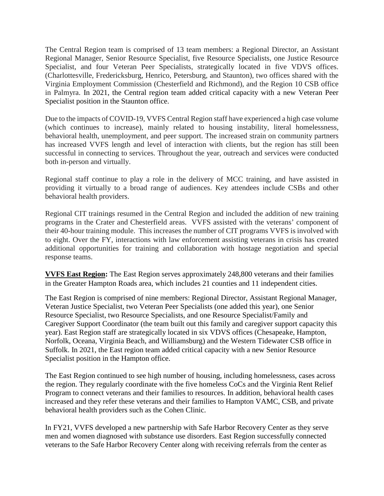The Central Region team is comprised of 13 team members: a Regional Director, an Assistant Regional Manager, Senior Resource Specialist, five Resource Specialists, one Justice Resource Specialist, and four Veteran Peer Specialists, strategically located in five VDVS offices. (Charlottesville, Fredericksburg, Henrico, Petersburg, and Staunton), two offices shared with the Virginia Employment Commission (Chesterfield and Richmond), and the Region 10 CSB office in Palmyra. In 2021, the Central region team added critical capacity with a new Veteran Peer Specialist position in the Staunton office.

Due to the impacts of COVID-19, VVFS Central Region staff have experienced a high case volume (which continues to increase), mainly related to housing instability, literal homelessness, behavioral health, unemployment, and peer support. The increased strain on community partners has increased VVFS length and level of interaction with clients, but the region has still been successful in connecting to services. Throughout the year, outreach and services were conducted both in-person and virtually.

Regional staff continue to play a role in the delivery of MCC training, and have assisted in providing it virtually to a broad range of audiences. Key attendees include CSBs and other behavioral health providers.

Regional CIT trainings resumed in the Central Region and included the addition of new training programs in the Crater and Chesterfield areas. VVFS assisted with the veterans' component of their 40-hour training module. This increases the number of CIT programs VVFS is involved with to eight. Over the FY, interactions with law enforcement assisting veterans in crisis has created additional opportunities for training and collaboration with hostage negotiation and special response teams.

**VVFS East Region:** The East Region serves approximately 248,800 veterans and their families in the Greater Hampton Roads area, which includes 21 counties and 11 independent cities.

The East Region is comprised of nine members: Regional Director, Assistant Regional Manager, Veteran Justice Specialist, two Veteran Peer Specialists (one added this year), one Senior Resource Specialist, two Resource Specialists, and one Resource Specialist/Family and Caregiver Support Coordinator (the team built out this family and caregiver support capacity this year). East Region staff are strategically located in six VDVS offices (Chesapeake, Hampton, Norfolk, Oceana, Virginia Beach, and Williamsburg) and the Western Tidewater CSB office in Suffolk. In 2021, the East region team added critical capacity with a new Senior Resource Specialist position in the Hampton office.

The East Region continued to see high number of housing, including homelessness, cases across the region. They regularly coordinate with the five homeless CoCs and the Virginia Rent Relief Program to connect veterans and their families to resources. In addition, behavioral health cases increased and they refer these veterans and their families to Hampton VAMC, CSB, and private behavioral health providers such as the Cohen Clinic.

In FY21, VVFS developed a new partnership with Safe Harbor Recovery Center as they serve men and women diagnosed with substance use disorders. East Region successfully connected veterans to the Safe Harbor Recovery Center along with receiving referrals from the center as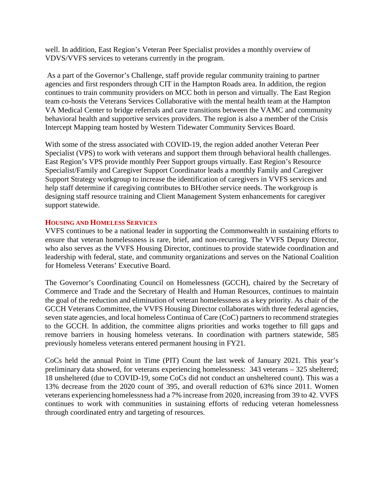well. In addition, East Region's Veteran Peer Specialist provides a monthly overview of VDVS/VVFS services to veterans currently in the program.

As a part of the Governor's Challenge, staff provide regular community training to partner agencies and first responders through CIT in the Hampton Roads area. In addition, the region continues to train community providers on MCC both in person and virtually. The East Region team co-hosts the Veterans Services Collaborative with the mental health team at the Hampton VA Medical Center to bridge referrals and care transitions between the VAMC and community behavioral health and supportive services providers. The region is also a member of the Crisis Intercept Mapping team hosted by Western Tidewater Community Services Board.

With some of the stress associated with COVID-19, the region added another Veteran Peer Specialist (VPS) to work with veterans and support them through behavioral health challenges. East Region's VPS provide monthly Peer Support groups virtually. East Region's Resource Specialist/Family and Caregiver Support Coordinator leads a monthly Family and Caregiver Support Strategy workgroup to increase the identification of caregivers in VVFS services and help staff determine if caregiving contributes to BH/other service needs. The workgroup is designing staff resource training and Client Management System enhancements for caregiver support statewide.

#### **HOUSING AND HOMELESS SERVICES**

VVFS continues to be a national leader in supporting the Commonwealth in sustaining efforts to ensure that veteran homelessness is rare, brief, and non-recurring. The VVFS Deputy Director, who also serves as the VVFS Housing Director, continues to provide statewide coordination and leadership with federal, state, and community organizations and serves on the National Coalition for Homeless Veterans' Executive Board.

The Governor's Coordinating Council on Homelessness (GCCH), chaired by the Secretary of Commerce and Trade and the Secretary of Health and Human Resources, continues to maintain the goal of the reduction and elimination of veteran homelessness as a key priority. As chair of the GCCH Veterans Committee, the VVFS Housing Director collaborates with three federal agencies, seven state agencies, and local homeless Continua of Care (CoC) partners to recommend strategies to the GCCH. In addition, the committee aligns priorities and works together to fill gaps and remove barriers in housing homeless veterans. In coordination with partners statewide, 585 previously homeless veterans entered permanent housing in FY21.

CoCs held the annual Point in Time (PIT) Count the last week of January 2021. This year's preliminary data showed, for veterans experiencing homelessness: 343 veterans – 325 sheltered; 18 unsheltered (due to COVID-19, some CoCs did not conduct an unsheltered count). This was a 13% decrease from the 2020 count of 395, and overall reduction of 63% since 2011. Women veterans experiencing homelessness had a 7% increase from 2020, increasing from 39 to 42. VVFS continues to work with communities in sustaining efforts of reducing veteran homelessness through coordinated entry and targeting of resources.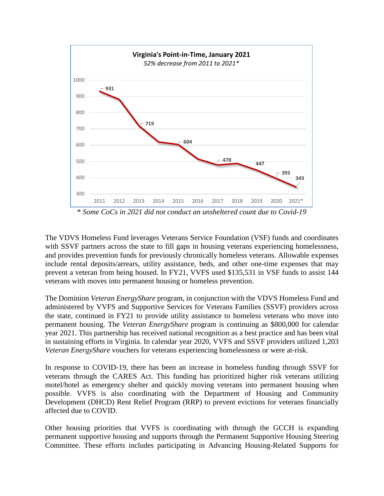

The VDVS Homeless Fund leverages Veterans Service Foundation (VSF) funds and coordinates with SSVF partners across the state to fill gaps in housing veterans experiencing homelessness, and provides prevention funds for previously chronically homeless veterans. Allowable expenses include rental deposits/arrears, utility assistance, beds, and other one-time expenses that may prevent a veteran from being housed. In FY21, VVFS used \$135,531 in VSF funds to assist 144 veterans with moves into permanent housing or homeless prevention.

The Dominion *Veteran EnergyShare* program, in conjunction with the VDVS Homeless Fund and administered by VVFS and Supportive Services for Veterans Families (SSVF) providers across the state, continued in FY21 to provide utility assistance to homeless veterans who move into permanent housing. The *Veteran EnergyShare* program is continuing as \$800,000 for calendar year 2021. This partnership has received national recognition as a best practice and has been vital in sustaining efforts in Virginia. In calendar year 2020, VVFS and SSVF providers utilized 1,203 *Veteran EnergyShare* vouchers for veterans experiencing homelessness or were at-risk.

In response to COVID-19, there has been an increase in homeless funding through SSVF for veterans through the CARES Act. This funding has prioritized higher risk veterans utilizing motel/hotel as emergency shelter and quickly moving veterans into permanent housing when possible. VVFS is also coordinating with the Department of Housing and Community Development (DHCD) Rent Relief Program (RRP) to prevent evictions for veterans financially affected due to COVID.

Other housing priorities that VVFS is coordinating with through the GCCH is expanding permanent supportive housing and supports through the Permanent Supportive Housing Steering Committee. These efforts includes participating in Advancing Housing-Related Supports for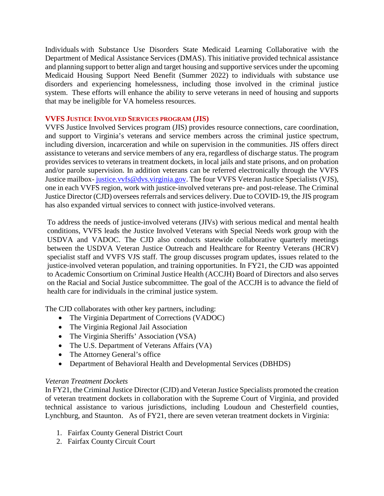Individuals with Substance Use Disorders State Medicaid Learning Collaborative with the Department of Medical Assistance Services (DMAS). This initiative provided technical assistance and planning support to better align and target housing and supportive services under the upcoming Medicaid Housing Support Need Benefit (Summer 2022) to individuals with substance use disorders and experiencing homelessness, including those involved in the criminal justice system. These efforts will enhance the ability to serve veterans in need of housing and supports that may be ineligible for VA homeless resources.

#### **VVFS JUSTICE INVOLVED SERVICES PROGRAM (JIS)**

VVFS Justice Involved Services program (JIS) provides resource connections, care coordination, and support to Virginia's veterans and service members across the criminal justice spectrum, including diversion, incarceration and while on supervision in the communities. JIS offers direct assistance to veterans and service members of any era, regardless of discharge status. The program provides services to veterans in treatment dockets, in local jails and state prisons, and on probation and/or parole supervision. In addition veterans can be referred electronically through the VVFS Justice mailbox- [justice.vvfs@dvs.virginia.gov.](mailto:justice.vvfs@dvs.virginia.gov) The four VVFS Veteran Justice Specialists (VJS), one in each VVFS region, work with justice-involved veterans pre- and post-release. The Criminal Justice Director (CJD) oversees referrals and services delivery. Due to COVID-19, the JIS program has also expanded virtual services to connect with justice-involved veterans.

To address the needs of justice-involved veterans (JIVs) with serious medical and mental health conditions, VVFS leads the Justice Involved Veterans with Special Needs work group with the USDVA and VADOC. The CJD also conducts statewide collaborative quarterly meetings between the USDVA Veteran Justice Outreach and Healthcare for Reentry Veterans (HCRV) specialist staff and VVFS VJS staff. The group discusses program updates, issues related to the justice-involved veteran population, and training opportunities. In FY21, the CJD was appointed to Academic Consortium on Criminal Justice Health (ACCJH) Board of Directors and also serves on the Racial and Social Justice subcommittee. The goal of the ACCJH is to advance the field of health care for individuals in the criminal justice system.

The CJD collaborates with other key partners, including:

- The Virginia Department of Corrections (VADOC)
- The Virginia Regional Jail Association
- The Virginia Sheriffs' Association (VSA)
- The U.S. Department of Veterans Affairs (VA)
- The Attorney General's office
- Department of Behavioral Health and Developmental Services (DBHDS)

#### *Veteran Treatment Dockets*

In FY21, the Criminal Justice Director (CJD) and Veteran Justice Specialists promoted the creation of veteran treatment dockets in collaboration with the Supreme Court of Virginia, and provided technical assistance to various jurisdictions, including Loudoun and Chesterfield counties, Lynchburg, and Staunton. As of FY21, there are seven veteran treatment dockets in Virginia:

- 1. Fairfax County General District Court
- 2. Fairfax County Circuit Court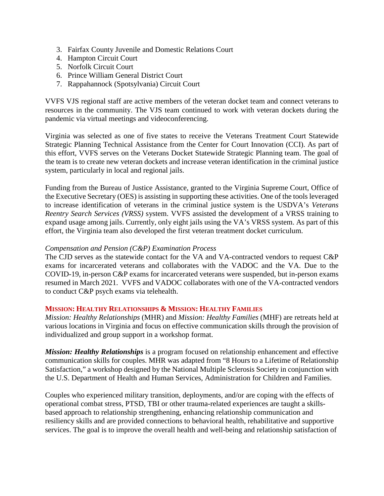- 3. Fairfax County Juvenile and Domestic Relations Court
- 4. Hampton Circuit Court
- 5. Norfolk Circuit Court
- 6. Prince William General District Court
- 7. Rappahannock (Spotsylvania) Circuit Court

VVFS VJS regional staff are active members of the veteran docket team and connect veterans to resources in the community. The VJS team continued to work with veteran dockets during the pandemic via virtual meetings and videoconferencing.

Virginia was selected as one of five states to receive the Veterans Treatment Court Statewide Strategic Planning Technical Assistance from the Center for Court Innovation (CCI). As part of this effort, VVFS serves on the Veterans Docket Statewide Strategic Planning team. The goal of the team is to create new veteran dockets and increase veteran identification in the criminal justice system, particularly in local and regional jails.

Funding from the Bureau of Justice Assistance, granted to the Virginia Supreme Court, Office of the Executive Secretary (OES) is assisting in supporting these activities. One of the tools leveraged to increase identification of veterans in the criminal justice system is the USDVA's *Veterans Reentry Search Services (VRSS)* system. VVFS assisted the development of a VRSS training to expand usage among jails. Currently, only eight jails using the VA's VRSS system. As part of this effort, the Virginia team also developed the first veteran treatment docket curriculum.

#### *Compensation and Pension (C&P) Examination Process*

The CJD serves as the statewide contact for the VA and VA-contracted vendors to request C&P exams for incarcerated veterans and collaborates with the VADOC and the VA. Due to the COVID-19, in-person C&P exams for incarcerated veterans were suspended, but in-person exams resumed in March 2021. VVFS and VADOC collaborates with one of the VA-contracted vendors to conduct C&P psych exams via telehealth.

#### **MISSION: HEALTHY RELATIONSHIPS & MISSION: HEALTHY FAMILIES**

*Mission: Healthy Relationships* (MHR) and *Mission: Healthy Families* (MHF) are retreats held at various locations in Virginia and focus on effective communication skills through the provision of individualized and group support in a workshop format.

*Mission: Healthy Relationships* is a program focused on relationship enhancement and effective communication skills for couples. MHR was adapted from "8 Hours to a Lifetime of Relationship Satisfaction," a workshop designed by the National Multiple Sclerosis Society in conjunction with the U.S. Department of Health and Human Services, Administration for Children and Families.

Couples who experienced military transition, deployments, and/or are coping with the effects of operational combat stress, PTSD, TBI or other trauma-related experiences are taught a skillsbased approach to relationship strengthening, enhancing relationship communication and resiliency skills and are provided connections to behavioral health, rehabilitative and supportive services. The goal is to improve the overall health and well-being and relationship satisfaction of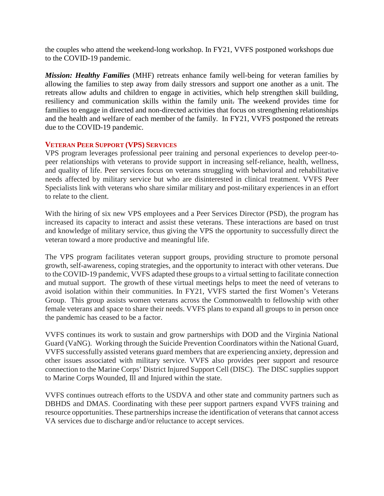the couples who attend the weekend-long workshop. In FY21, VVFS postponed workshops due to the COVID-19 pandemic.

*Mission: Healthy Families* (MHF) retreats enhance family well-being for veteran families by allowing the families to step away from daily stressors and support one another as a unit. The retreats allow adults and children to engage in activities, which help strengthen skill building, resiliency and communication skills within the family unit. The weekend provides time for families to engage in directed and non-directed activities that focus on strengthening relationships and the health and welfare of each member of the family. In FY21, VVFS postponed the retreats due to the COVID-19 pandemic.

#### **VETERAN PEER SUPPORT (VPS) SERVICES**

VPS program leverages professional peer training and personal experiences to develop peer-topeer relationships with veterans to provide support in increasing self-reliance, health, wellness, and quality of life. Peer services focus on veterans struggling with behavioral and rehabilitative needs affected by military service but who are disinterested in clinical treatment. VVFS Peer Specialists link with veterans who share similar military and post-military experiences in an effort to relate to the client.

With the hiring of six new VPS employees and a Peer Services Director (PSD), the program has increased its capacity to interact and assist these veterans. These interactions are based on trust and knowledge of military service, thus giving the VPS the opportunity to successfully direct the veteran toward a more productive and meaningful life.

The VPS program facilitates veteran support groups, providing structure to promote personal growth, self-awareness, coping strategies, and the opportunity to interact with other veterans. Due to the COVID-19 pandemic, VVFS adapted these groups to a virtual setting to facilitate connection and mutual support. The growth of these virtual meetings helps to meet the need of veterans to avoid isolation within their communities. In FY21, VVFS started the first Women's Veterans Group. This group assists women veterans across the Commonwealth to fellowship with other female veterans and space to share their needs. VVFS plans to expand all groups to in person once the pandemic has ceased to be a factor.

VVFS continues its work to sustain and grow partnerships with DOD and the Virginia National Guard (VaNG). Working through the Suicide Prevention Coordinators within the National Guard, VVFS successfully assisted veterans guard members that are experiencing anxiety, depression and other issues associated with military service. VVFS also provides peer support and resource connection to the Marine Corps' District Injured Support Cell (DISC). The DISC supplies support to Marine Corps Wounded, Ill and Injured within the state.

VVFS continues outreach efforts to the USDVA and other state and community partners such as DBHDS and DMAS. Coordinating with these peer support partners expand VVFS training and resource opportunities. These partnerships increase the identification of veterans that cannot access VA services due to discharge and/or reluctance to accept services.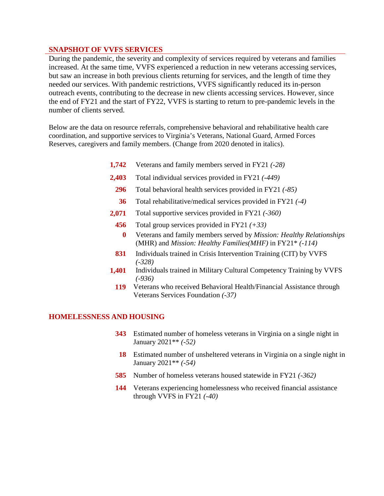#### **SNAPSHOT OF VVFS SERVICES**

During the pandemic, the severity and complexity of services required by veterans and families increased. At the same time, VVFS experienced a reduction in new veterans accessing services, but saw an increase in both previous clients returning for services, and the length of time they needed our services. With pandemic restrictions, VVFS significantly reduced its in-person outreach events, contributing to the decrease in new clients accessing services. However, since the end of FY21 and the start of FY22, VVFS is starting to return to pre-pandemic levels in the number of clients served.

Below are the data on resource referrals, comprehensive behavioral and rehabilitative health care coordination, and supportive services to Virginia's Veterans, National Guard, Armed Forces Reserves, caregivers and family members. (Change from 2020 denoted in italics).

- **1,742** Veterans and family members served in FY21 *(-28)*
- **2,403** Total individual services provided in FY21 *(-449)*
	- **296** Total behavioral health services provided in FY21 *(-85)*
		- **36** Total rehabilitative/medical services provided in FY21 *(-4)*
- **2,071** Total supportive services provided in FY21 *(-360)*
	- **456** Total group services provided in FY21 *(+33)*
	- **0** Veterans and family members served by *Mission: Healthy Relationships* (MHR) and *Mission: Healthy Families(MHF)* in FY21\* *(-114)*
- **831** Individuals trained in Crisis Intervention Training (CIT) by VVFS *(-328)*
- **1,401** Individuals trained in Military Cultural Competency Training by VVFS *(-936)*
	- **119** Veterans who received Behavioral Health/Financial Assistance through Veterans Services Foundation *(-37)*

#### **HOMELESSNESS AND HOUSING**

- **343** Estimated number of homeless veterans in Virginia on a single night in January 2021\*\* *(-52)*
- **18** Estimated number of unsheltered veterans in Virginia on a single night in January 2021\*\* *(-54)*
- **585** Number of homeless veterans housed statewide in FY21 *(-362)*
- **144** Veterans experiencing homelessness who received financial assistance through VVFS in FY21 *(-40)*